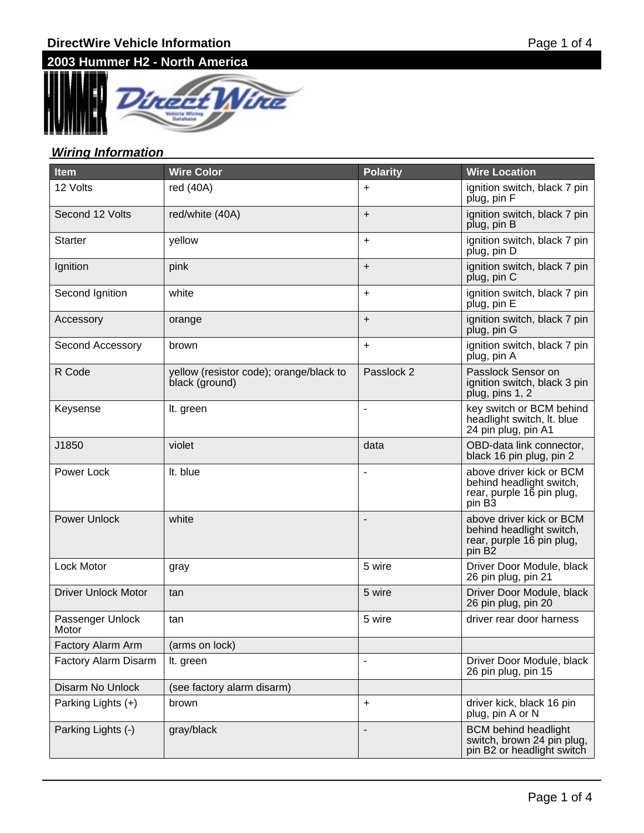# **2003 Hummer H2 - North America**



### **Wiring Information**

| <b>Item</b>                | <b>Wire Color</b>                                         | <b>Polarity</b>          | <b>Wire Location</b>                                                                                    |
|----------------------------|-----------------------------------------------------------|--------------------------|---------------------------------------------------------------------------------------------------------|
| 12 Volts                   | red (40A)                                                 | +                        | ignition switch, black 7 pin<br>plug, pin F                                                             |
| Second 12 Volts            | red/white (40A)                                           | $\ddot{}$                | ignition switch, black 7 pin<br>plug, pin B                                                             |
| Starter                    | yellow                                                    | $\ddot{}$                | ignition switch, black 7 pin<br>plug, pin D                                                             |
| Ignition                   | pink                                                      | $\ddot{}$                | ignition switch, black 7 pin<br>plug, pin C                                                             |
| Second Ignition            | white                                                     | $\ddot{}$                | ignition switch, black 7 pin<br>plug, pin E                                                             |
| Accessory                  | orange                                                    | $\ddot{}$                | ignition switch, black 7 pin<br>plug, pin G                                                             |
| Second Accessory           | brown                                                     | $\ddot{}$                | ignition switch, black 7 pin<br>plug, pin A                                                             |
| R Code                     | yellow (resistor code); orange/black to<br>black (ground) | Passlock 2               | Passlock Sensor on<br>ignition switch, black 3 pin<br>plug, pins 1, 2                                   |
| Keysense                   | It. green                                                 | $\overline{\phantom{a}}$ | key switch or BCM behind<br>headlight switch, It. blue<br>24 pin plug, pin A1                           |
| J1850                      | violet                                                    | data                     | OBD-data link connector,<br>black 16 pin plug, pin 2                                                    |
| <b>Power Lock</b>          | It. blue                                                  | $\overline{\phantom{a}}$ | above driver kick or BCM<br>behind headlight switch,<br>rear, purple 16 pin plug,<br>pin B <sub>3</sub> |
| <b>Power Unlock</b>        | white                                                     | ۰                        | above driver kick or BCM<br>behind headlight switch,<br>rear, purple 16 pin plug,<br>pin B2             |
| Lock Motor                 | gray                                                      | 5 wire                   | Driver Door Module, black<br>26 pin plug, pin 21                                                        |
| <b>Driver Unlock Motor</b> | tan                                                       | 5 wire                   | Driver Door Module, black<br>26 pin plug, pin 20                                                        |
| Passenger Unlock<br>Motor  | tan                                                       | 5 wire                   | driver rear door harness                                                                                |
| Factory Alarm Arm          | (arms on lock)                                            |                          |                                                                                                         |
| Factory Alarm Disarm       | It. green                                                 | $\blacksquare$           | Driver Door Module, black<br>26 pin plug, pin 15                                                        |
| Disarm No Unlock           | (see factory alarm disarm)                                |                          |                                                                                                         |
| Parking Lights (+)         | brown                                                     | $\ddot{}$                | driver kick, black 16 pin<br>plug, pin A or N                                                           |
| Parking Lights (-)         | gray/black                                                | $\overline{a}$           | <b>BCM</b> behind headlight<br>switch, brown 24 pin plug,<br>pin B2 or headlight switch                 |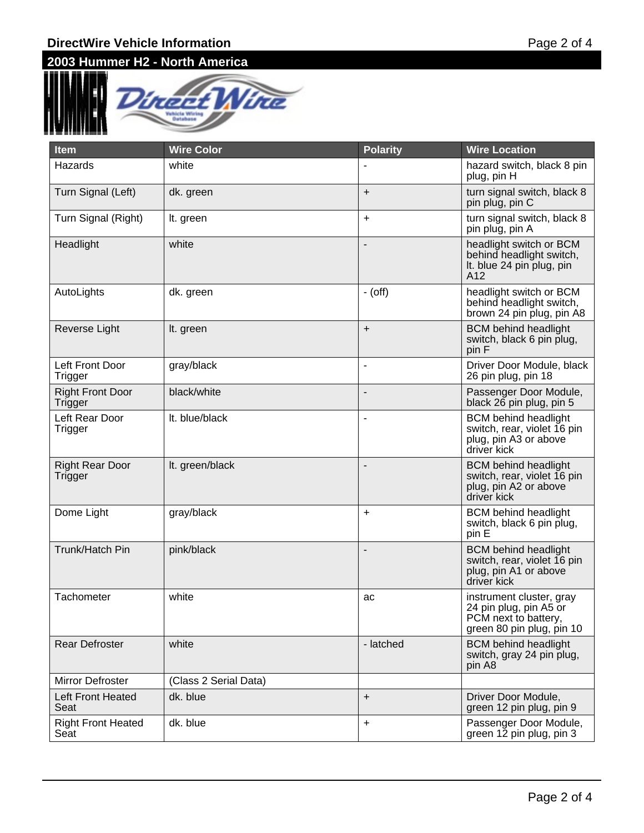### **DirectWire Vehicle Information**

# **2003 Hummer H2 - North America**



| <b>Item</b>                        | <b>Wire Color</b>     | <b>Polarity</b>          | <b>Wire Location</b>                                                                                    |
|------------------------------------|-----------------------|--------------------------|---------------------------------------------------------------------------------------------------------|
| Hazards                            | white                 |                          | hazard switch, black 8 pin<br>plug, pin H                                                               |
| Turn Signal (Left)                 | dk. green             | $\ddot{}$                | turn signal switch, black 8<br>pin plug, pin C                                                          |
| Turn Signal (Right)                | It. green             | $\ddot{}$                | turn signal switch, black 8<br>pin plug, pin A                                                          |
| Headlight                          | white                 | $\overline{a}$           | headlight switch or BCM<br>behind headlight switch,<br>It. blue 24 pin plug, pin<br>A12                 |
| AutoLights                         | dk. green             | $-$ (off)                | headlight switch or BCM<br>behind headlight switch,<br>brown 24 pin plug, pin A8                        |
| Reverse Light                      | It. green             | $\ddot{}$                | <b>BCM</b> behind headlight<br>switch, black 6 pin plug,<br>pin F                                       |
| Left Front Door<br>Trigger         | gray/black            | $\overline{\phantom{a}}$ | Driver Door Module, black<br>26 pin plug, pin 18                                                        |
| <b>Right Front Door</b><br>Trigger | black/white           | -                        | Passenger Door Module,<br>black 26 pin plug, pin 5                                                      |
| Left Rear Door<br>Trigger          | It. blue/black        | $\overline{\phantom{a}}$ | <b>BCM</b> behind headlight<br>switch, rear, violet 16 pin<br>plug, pin A3 or above<br>driver kick      |
| <b>Right Rear Door</b><br>Trigger  | It. green/black       | ۰                        | <b>BCM</b> behind headlight<br>switch, rear, violet 16 pin<br>plug, pin A2 or above<br>driver kick      |
| Dome Light                         | gray/black            | +                        | <b>BCM</b> behind headlight<br>switch, black 6 pin plug,<br>pin E                                       |
| Trunk/Hatch Pin                    | pink/black            | -                        | <b>BCM</b> behind headlight<br>switch, rear, violet 16 pin<br>plug, pin A1 or above<br>driver kick      |
| Tachometer                         | white                 | ac                       | instrument cluster, gray<br>24 pin plug, pin A5 or<br>PCM next to battery,<br>green 80 pin plug, pin 10 |
| <b>Rear Defroster</b>              | white                 | - latched                | <b>BCM</b> behind headlight<br>switch, gray 24 pin plug,<br>pin A8                                      |
| Mirror Defroster                   | (Class 2 Serial Data) |                          |                                                                                                         |
| Left Front Heated<br>Seat          | dk. blue              | $\ddot{}$                | Driver Door Module,<br>green 12 pin plug, pin 9                                                         |
| <b>Right Front Heated</b><br>Seat  | dk. blue              | $\ddot{}$                | Passenger Door Module,<br>green 12 pin plug, pin 3                                                      |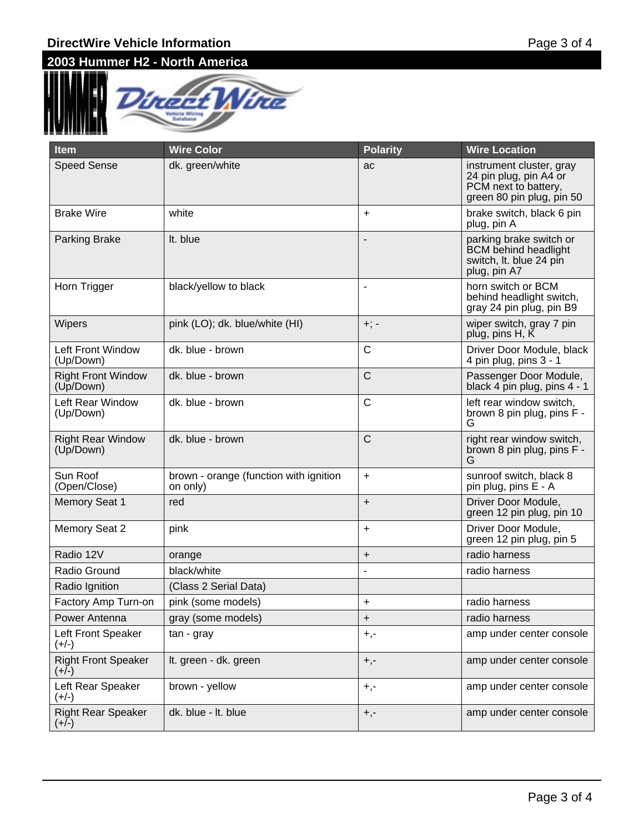### **DirectWire Vehicle Information**

# **2003 Hummer H2 - North America**



| <b>Item</b>                            | <b>Wire Color</b>                                  | <b>Polarity</b>          | <b>Wire Location</b>                                                                                    |
|----------------------------------------|----------------------------------------------------|--------------------------|---------------------------------------------------------------------------------------------------------|
| <b>Speed Sense</b>                     | dk. green/white                                    | ac                       | instrument cluster, gray<br>24 pin plug, pin A4 or<br>PCM next to battery,<br>green 80 pin plug, pin 50 |
| <b>Brake Wire</b>                      | white                                              | $\ddot{}$                | brake switch, black 6 pin<br>plug, pin A                                                                |
| Parking Brake                          | It. blue                                           |                          | parking brake switch or<br><b>BCM</b> behind headlight<br>switch, It. blue 24 pin<br>plug, pin A7       |
| Horn Trigger                           | black/yellow to black                              | $\overline{\phantom{a}}$ | horn switch or BCM<br>behind headlight switch,<br>gray 24 pin plug, pin B9                              |
| Wipers                                 | pink (LO); dk. blue/white (HI)                     | $+; -$                   | wiper switch, gray 7 pin<br>plug, pins H, K                                                             |
| Left Front Window<br>(Up/Down)         | dk. blue - brown                                   | $\mathsf{C}$             | Driver Door Module, black<br>4 pin plug, pins 3 - 1                                                     |
| <b>Right Front Window</b><br>(Up/Down) | dk. blue - brown                                   | $\mathsf{C}$             | Passenger Door Module,<br>black 4 pin plug, pins 4 - 1                                                  |
| Left Rear Window<br>(Up/Down)          | dk. blue - brown                                   | $\mathsf{C}$             | left rear window switch,<br>brown 8 pin plug, pins F -<br>G                                             |
| <b>Right Rear Window</b><br>(Up/Down)  | dk. blue - brown                                   | $\mathsf{C}$             | right rear window switch,<br>brown 8 pin plug, pins F -<br>G                                            |
| Sun Roof<br>(Open/Close)               | brown - orange (function with ignition<br>on only) | $\ddot{}$                | sunroof switch, black 8<br>pin plug, pins E - A                                                         |
| <b>Memory Seat 1</b>                   | red                                                | $\ddot{}$                | Driver Door Module,<br>green 12 pin plug, pin 10                                                        |
| Memory Seat 2                          | pink                                               | $\ddot{}$                | Driver Door Module,<br>green 12 pin plug, pin 5                                                         |
| Radio 12V                              | orange                                             | $\ddot{}$                | radio harness                                                                                           |
| Radio Ground                           | black/white                                        |                          | radio harness                                                                                           |
| Radio Ignition                         | (Class 2 Serial Data)                              |                          |                                                                                                         |
| Factory Amp Turn-on                    | pink (some models)                                 | +                        | radio harness                                                                                           |
| Power Antenna                          | gray (some models)                                 | +                        | radio harness                                                                                           |
| Left Front Speaker<br>$(+/-)$          | tan - gray                                         | $+,-$                    | amp under center console                                                                                |
| <b>Right Front Speaker</b><br>$(+/-)$  | It. green - dk. green                              | $+,-$                    | amp under center console                                                                                |
| Left Rear Speaker<br>(+/-)             | brown - yellow                                     | $+,-$                    | amp under center console                                                                                |
| <b>Right Rear Speaker</b><br>$(+/-)$   | dk. blue - It. blue                                | $+,-$                    | amp under center console                                                                                |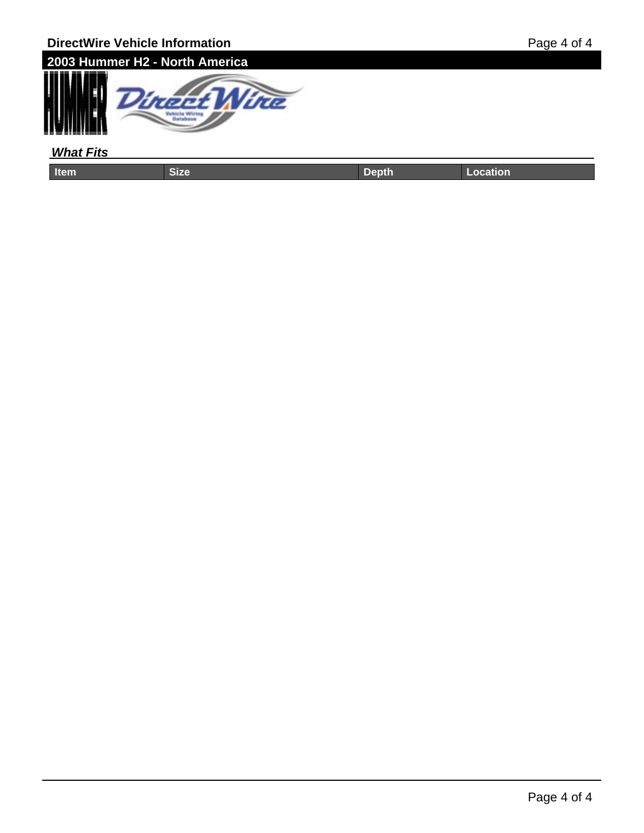

#### **What Fits**

| <b>l</b> tem | ____ | .<br>_ | المستعمد |
|--------------|------|--------|----------|
|              |      |        |          |